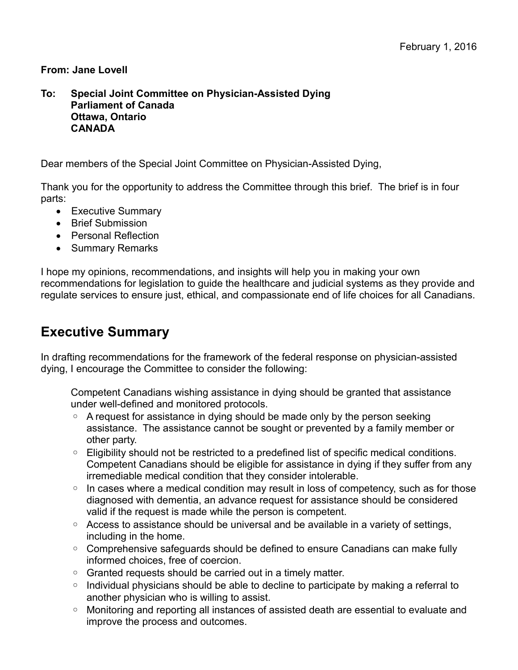#### **From: Jane Lovell**

#### **To: Special Joint Committee on Physician-Assisted Dying Parliament of Canada Ottawa, Ontario CANADA**

Dear members of the Special Joint Committee on Physician-Assisted Dying,

Thank you for the opportunity to address the Committee through this brief. The brief is in four parts:

- Executive Summary
- **•** Brief Submission
- Personal Reflection
- Summary Remarks

I hope my opinions, recommendations, and insights will help you in making your own recommendations for legislation to guide the healthcare and judicial systems as they provide and regulate services to ensure just, ethical, and compassionate end of life choices for all Canadians.

## **Executive Summary**

In drafting recommendations for the framework of the federal response on physician-assisted dying, I encourage the Committee to consider the following:

Competent Canadians wishing assistance in dying should be granted that assistance under well-defined and monitored protocols.

- A request for assistance in dying should be made only by the person seeking assistance. The assistance cannot be sought or prevented by a family member or other party.
- Eligibility should not be restricted to a predefined list of specific medical conditions. Competent Canadians should be eligible for assistance in dying if they suffer from any irremediable medical condition that they consider intolerable.
- In cases where a medical condition may result in loss of competency, such as for those diagnosed with dementia, an advance request for assistance should be considered valid if the request is made while the person is competent.
- Access to assistance should be universal and be available in a variety of settings, including in the home.
- Comprehensive safeguards should be defined to ensure Canadians can make fully informed choices, free of coercion.
- Granted requests should be carried out in a timely matter.
- Individual physicians should be able to decline to participate by making a referral to another physician who is willing to assist.
- Monitoring and reporting all instances of assisted death are essential to evaluate and improve the process and outcomes.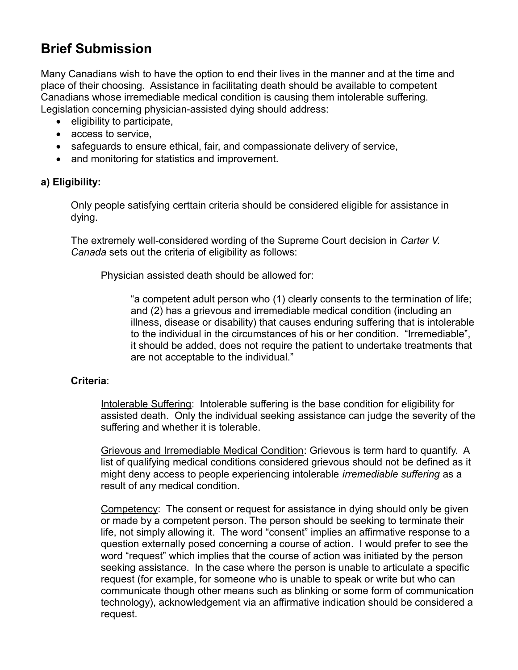# **Brief Submission**

Many Canadians wish to have the option to end their lives in the manner and at the time and place of their choosing. Assistance in facilitating death should be available to competent Canadians whose irremediable medical condition is causing them intolerable suffering. Legislation concerning physician-assisted dying should address:

- eligibility to participate,
- access to service,
- safeguards to ensure ethical, fair, and compassionate delivery of service,
- and monitoring for statistics and improvement.

#### **a) Eligibility:**

Only people satisfying certtain criteria should be considered eligible for assistance in dying.

The extremely well-considered wording of the Supreme Court decision in *Carter V. Canada* sets out the criteria of eligibility as follows:

Physician assisted death should be allowed for:

"a competent adult person who (1) clearly consents to the termination of life; and (2) has a grievous and irremediable medical condition (including an illness, disease or disability) that causes enduring suffering that is intolerable to the individual in the circumstances of his or her condition. "Irremediable", it should be added, does not require the patient to undertake treatments that are not acceptable to the individual."

#### **Criteria**:

Intolerable Suffering: Intolerable suffering is the base condition for eligibility for assisted death. Only the individual seeking assistance can judge the severity of the suffering and whether it is tolerable.

Grievous and Irremediable Medical Condition: Grievous is term hard to quantify. A list of qualifying medical conditions considered grievous should not be defined as it might deny access to people experiencing intolerable *irremediable suffering* as a result of any medical condition.

Competency: The consent or request for assistance in dying should only be given or made by a competent person. The person should be seeking to terminate their life, not simply allowing it. The word "consent" implies an affirmative response to a question externally posed concerning a course of action. I would prefer to see the word "request" which implies that the course of action was initiated by the person seeking assistance. In the case where the person is unable to articulate a specific request (for example, for someone who is unable to speak or write but who can communicate though other means such as blinking or some form of communication technology), acknowledgement via an affirmative indication should be considered a request.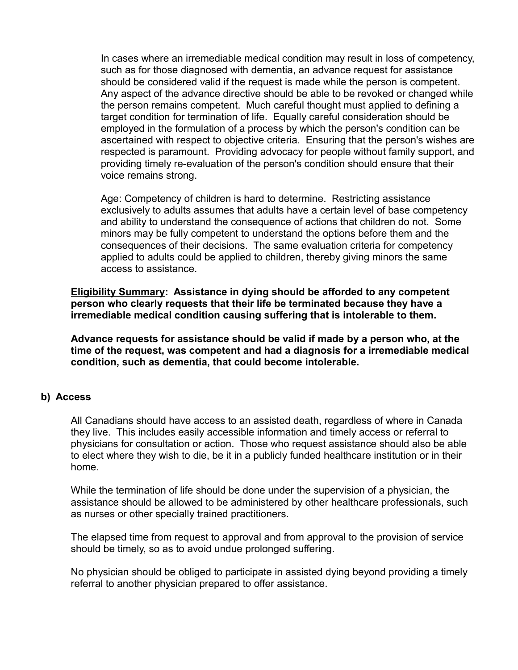In cases where an irremediable medical condition may result in loss of competency, such as for those diagnosed with dementia, an advance request for assistance should be considered valid if the request is made while the person is competent. Any aspect of the advance directive should be able to be revoked or changed while the person remains competent. Much careful thought must applied to defining a target condition for termination of life. Equally careful consideration should be employed in the formulation of a process by which the person's condition can be ascertained with respect to objective criteria. Ensuring that the person's wishes are respected is paramount. Providing advocacy for people without family support, and providing timely re-evaluation of the person's condition should ensure that their voice remains strong.

Age: Competency of children is hard to determine. Restricting assistance exclusively to adults assumes that adults have a certain level of base competency and ability to understand the consequence of actions that children do not. Some minors may be fully competent to understand the options before them and the consequences of their decisions. The same evaluation criteria for competency applied to adults could be applied to children, thereby giving minors the same access to assistance.

**Eligibility Summary: Assistance in dying should be afforded to any competent person who clearly requests that their life be terminated because they have a irremediable medical condition causing suffering that is intolerable to them.** 

**Advance requests for assistance should be valid if made by a person who, at the time of the request, was competent and had a diagnosis for a irremediable medical condition, such as dementia, that could become intolerable.**

#### **b) Access**

All Canadians should have access to an assisted death, regardless of where in Canada they live. This includes easily accessible information and timely access or referral to physicians for consultation or action. Those who request assistance should also be able to elect where they wish to die, be it in a publicly funded healthcare institution or in their home.

While the termination of life should be done under the supervision of a physician, the assistance should be allowed to be administered by other healthcare professionals, such as nurses or other specially trained practitioners.

The elapsed time from request to approval and from approval to the provision of service should be timely, so as to avoid undue prolonged suffering.

No physician should be obliged to participate in assisted dying beyond providing a timely referral to another physician prepared to offer assistance.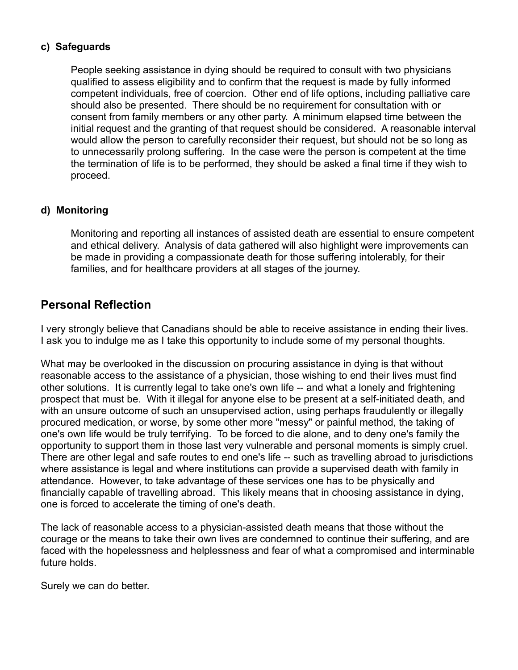#### **c) Safeguards**

People seeking assistance in dying should be required to consult with two physicians qualified to assess eligibility and to confirm that the request is made by fully informed competent individuals, free of coercion. Other end of life options, including palliative care should also be presented. There should be no requirement for consultation with or consent from family members or any other party. A minimum elapsed time between the initial request and the granting of that request should be considered. A reasonable interval would allow the person to carefully reconsider their request, but should not be so long as to unnecessarily prolong suffering. In the case were the person is competent at the time the termination of life is to be performed, they should be asked a final time if they wish to proceed.

#### **d) Monitoring**

Monitoring and reporting all instances of assisted death are essential to ensure competent and ethical delivery. Analysis of data gathered will also highlight were improvements can be made in providing a compassionate death for those suffering intolerably, for their families, and for healthcare providers at all stages of the journey.

### **Personal Reflection**

I very strongly believe that Canadians should be able to receive assistance in ending their lives. I ask you to indulge me as I take this opportunity to include some of my personal thoughts.

What may be overlooked in the discussion on procuring assistance in dying is that without reasonable access to the assistance of a physician, those wishing to end their lives must find other solutions. It is currently legal to take one's own life -- and what a lonely and frightening prospect that must be. With it illegal for anyone else to be present at a self-initiated death, and with an unsure outcome of such an unsupervised action, using perhaps fraudulently or illegally procured medication, or worse, by some other more "messy" or painful method, the taking of one's own life would be truly terrifying. To be forced to die alone, and to deny one's family the opportunity to support them in those last very vulnerable and personal moments is simply cruel. There are other legal and safe routes to end one's life -- such as travelling abroad to jurisdictions where assistance is legal and where institutions can provide a supervised death with family in attendance. However, to take advantage of these services one has to be physically and financially capable of travelling abroad. This likely means that in choosing assistance in dying, one is forced to accelerate the timing of one's death.

The lack of reasonable access to a physician-assisted death means that those without the courage or the means to take their own lives are condemned to continue their suffering, and are faced with the hopelessness and helplessness and fear of what a compromised and interminable future holds.

Surely we can do better.